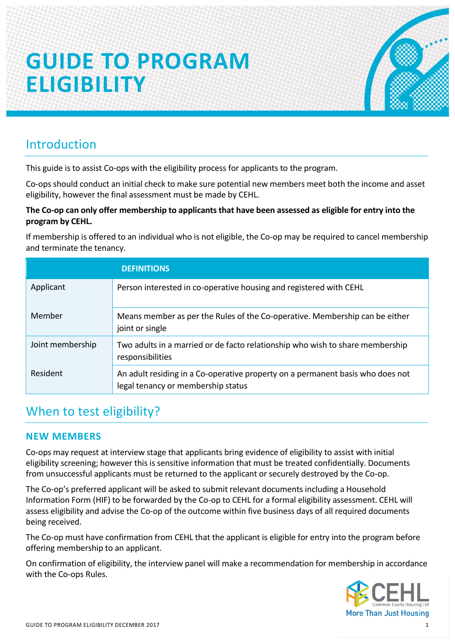# **GUIDE TO PROGRAM ELIGIBILITY**



## Introduction

This guide is to assist Co-ops with the eligibility process for applicants to the program.

Co-ops should conduct an initial check to make sure potential new members meet both the income and asset eligibility, however the final assessment must be made by CEHL.

#### **The Co-op can only offer membership to applicants that have been assessed as eligible for entry into the program by CEHL.**

If membership is offered to an individual who is not eligible, the Co-op may be required to cancel membership and terminate the tenancy.

|                  | <b>DEFINITIONS</b>                                                                                                   |
|------------------|----------------------------------------------------------------------------------------------------------------------|
| Applicant        | Person interested in co-operative housing and registered with CEHL                                                   |
| Member           | Means member as per the Rules of the Co-operative. Membership can be either<br>joint or single                       |
| Joint membership | Two adults in a married or de facto relationship who wish to share membership<br>responsibilities                    |
| Resident         | An adult residing in a Co-operative property on a permanent basis who does not<br>legal tenancy or membership status |

## When to test eligibility?

#### **NEW MEMBERS**

Co-ops may request at interview stage that applicants bring evidence of eligibility to assist with initial eligibility screening; however this is sensitive information that must be treated confidentially. Documents from unsuccessful applicants must be returned to the applicant or securely destroyed by the Co-op.

The Co-op's preferred applicant will be asked to submit relevant documents including a Household Information Form (HIF) to be forwarded by the Co-op to CEHL for a formal eligibility assessment. CEHL will assess eligibility and advise the Co-op of the outcome within five business days of all required documents being received.

The Co-op must have confirmation from CEHL that the applicant is eligible for entry into the program before offering membership to an applicant.

On confirmation of eligibility, the interview panel will make a recommendation for membership in accordance with the Co-ops Rules.

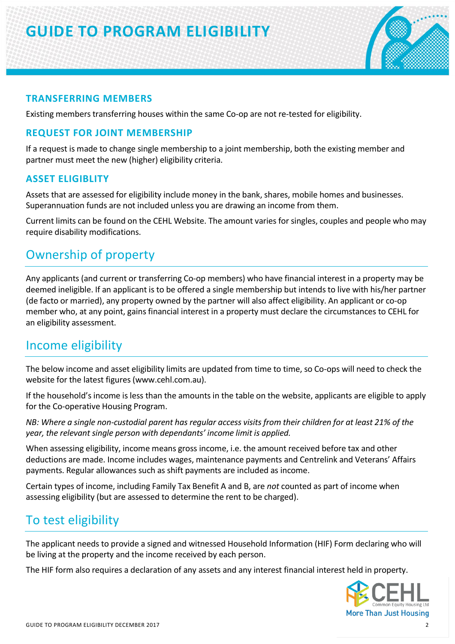## **GUIDE TO PROGRAM ELIGIBILITY**



#### **TRANSFERRING MEMBERS**

Existing members transferring houses within the same Co-op are not re-tested for eligibility.

#### **REQUEST FOR JOINT MEMBERSHIP**

If a request is made to change single membership to a joint membership, both the existing member and partner must meet the new (higher) eligibility criteria.

#### **ASSET ELIGIBLITY**

Assets that are assessed for eligibility include money in the bank, shares, mobile homes and businesses. Superannuation funds are not included unless you are drawing an income from them.

Current limits can be found on the CEHL Website. The amount varies for singles, couples and people who may require disability modifications.

## Ownership of property

Any applicants (and current or transferring Co-op members) who have financial interest in a property may be deemed ineligible. If an applicant is to be offered a single membership but intends to live with his/her partner (de facto or married), any property owned by the partner will also affect eligibility. An applicant or co-op member who, at any point, gains financial interest in a property must declare the circumstances to CEHL for an eligibility assessment.

### Income eligibility

The below income and asset eligibility limits are updated from time to time, so Co-ops will need to check the website for the latest figures (www.cehl.com.au).

If the household's income is less than the amounts in the table on the website, applicants are eligible to apply for the Co-operative Housing Program.

*NB: Where a single non-custodial parent has regular access visits from their children for at least 21% of the year, the relevant single person with dependants' income limit is applied.*

When assessing eligibility, income means gross income, i.e. the amount received before tax and other deductions are made. Income includes wages, maintenance payments and Centrelink and Veterans' Affairs payments. Regular allowances such as shift payments are included as income.

Certain types of income, including Family Tax Benefit A and B, are *not* counted as part of income when assessing eligibility (but are assessed to determine the rent to be charged).

## To test eligibility

The applicant needs to provide a signed and witnessed Household Information (HIF) Form declaring who will be living at the property and the income received by each person.

The HIF form also requires a declaration of any assets and any interest financial interest held in property.